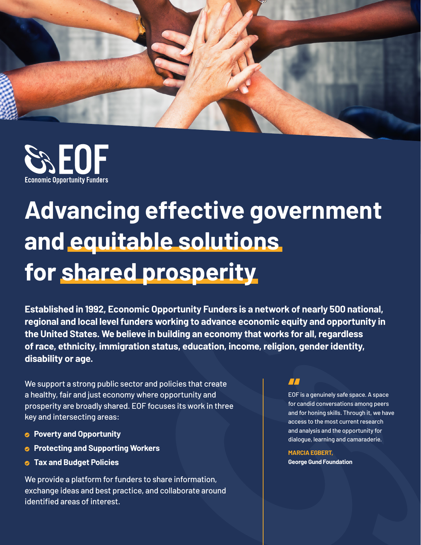



# **Advancing effective government and equitable solutions for shared prosperity**

**Established in 1992, Economic Opportunity Funders is a network of nearly 500 national, regional and local level funders working to advance economic equity and opportunity in the United States. We believe in building an economy that works for all, regardless of race, ethnicity, immigration status, education, income, religion, gender identity, disability or age.** 

We support a strong public sector and policies that create a healthy, fair and just economy where opportunity and prosperity are broadly shared. EOF focuses its work in three key and intersecting areas:

- **Poverty and Opportunity**
- **Protecting and Supporting Workers**
- **Tax and Budget Policies**

We provide a platform for funders to share information, exchange ideas and best practice, and collaborate around identified areas of interest.

## $\boldsymbol{\Pi}$

EOF is a genuinely safe space. A space for candid conversations among peers and for honing skills. Through it, we have access to the most current research and analysis and the opportunity for dialogue, learning and camaraderie.

**MARCIA EGBERT, George Gund Foundation**